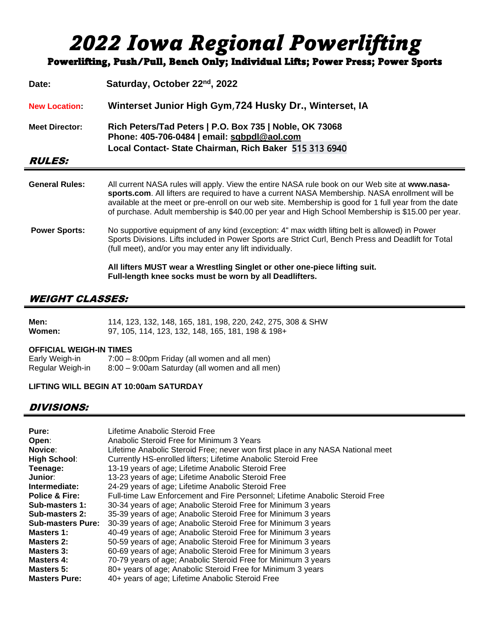# *2022 Iowa Regional Powerlifting*

Powerlifting, Push/Pull, Bench Only; Individual Lifts; Power Press; Power Sports

| Date:                 | Saturday, October 22 <sup>nd</sup> , 2022                                                                                                                                                                                                                                                                                                                                                                       |  |  |
|-----------------------|-----------------------------------------------------------------------------------------------------------------------------------------------------------------------------------------------------------------------------------------------------------------------------------------------------------------------------------------------------------------------------------------------------------------|--|--|
| <b>New Location</b>   | Winterset Junior High Gym, 724 Husky Dr., Winterset, IA                                                                                                                                                                                                                                                                                                                                                         |  |  |
| <b>Meet Director:</b> | Rich Peters/Tad Peters   P.O. Box 735   Noble, OK 73068<br>Phone: 405-706-0484   email: sqbpdl@aol.com<br>Local Contact-State Chairman, Rich Baker 515 313 6940                                                                                                                                                                                                                                                 |  |  |
| <i><b>RULES:</b></i>  |                                                                                                                                                                                                                                                                                                                                                                                                                 |  |  |
| <b>General Rules:</b> | All current NASA rules will apply. View the entire NASA rule book on our Web site at www.nasa-<br>sports.com. All lifters are required to have a current NASA Membership. NASA enrollment will be<br>available at the meet or pre-enroll on our web site. Membership is good for 1 full year from the date<br>of purchase. Adult membership is \$40.00 per year and High School Membership is \$15.00 per year. |  |  |
| <b>Power Sports:</b>  | No supportive equipment of any kind (exception: 4" max width lifting belt is allowed) in Power<br>Sports Divisions. Lifts included in Power Sports are Strict Curl, Bench Press and Deadlift for Total<br>(full meet), and/or you may enter any lift individually.                                                                                                                                              |  |  |
|                       | All lifters MUST wear a Wrestling Singlet or other one-piece lifting suit.<br>Full-length knee socks must be worn by all Deadlifters.                                                                                                                                                                                                                                                                           |  |  |

#### WEIGHT CLASSES:

| Men:   | 114, 123, 132, 148, 165, 181, 198, 220, 242, 275, 308 & SHW |
|--------|-------------------------------------------------------------|
| Women: | 97, 105, 114, 123, 132, 148, 165, 181, 198 & 198+           |

#### **OFFICIAL WEIGH-IN TIMES**

| Early Weigh-in   | 7:00 – 8:00pm Friday (all women and all men)   |
|------------------|------------------------------------------------|
| Regular Weigh-in | 8:00 - 9:00am Saturday (all women and all men) |

#### **LIFTING WILL BEGIN AT 10:00am SATURDAY**

#### DIVISIONS:

| Pure:                     | Lifetime Anabolic Steroid Free                                                  |
|---------------------------|---------------------------------------------------------------------------------|
| Open:                     | Anabolic Steroid Free for Minimum 3 Years                                       |
| Novice:                   | Lifetime Anabolic Steroid Free; never won first place in any NASA National meet |
| <b>High School:</b>       | Currently HS-enrolled lifters; Lifetime Anabolic Steroid Free                   |
| Teenage:                  | 13-19 years of age; Lifetime Anabolic Steroid Free                              |
| Junior:                   | 13-23 years of age; Lifetime Anabolic Steroid Free                              |
| Intermediate:             | 24-29 years of age; Lifetime Anabolic Steroid Free                              |
| <b>Police &amp; Fire:</b> | Full-time Law Enforcement and Fire Personnel; Lifetime Anabolic Steroid Free    |
| Sub-masters 1:            | 30-34 years of age; Anabolic Steroid Free for Minimum 3 years                   |
| Sub-masters 2:            | 35-39 years of age; Anabolic Steroid Free for Minimum 3 years                   |
| <b>Sub-masters Pure:</b>  | 30-39 years of age; Anabolic Steroid Free for Minimum 3 years                   |
| Masters 1:                | 40-49 years of age; Anabolic Steroid Free for Minimum 3 years                   |
| Masters 2:                | 50-59 years of age; Anabolic Steroid Free for Minimum 3 years                   |
| Masters 3:                | 60-69 years of age; Anabolic Steroid Free for Minimum 3 years                   |
| Masters 4:                | 70-79 years of age; Anabolic Steroid Free for Minimum 3 years                   |
| <b>Masters 5:</b>         | 80+ years of age; Anabolic Steroid Free for Minimum 3 years                     |
| <b>Masters Pure:</b>      | 40+ years of age; Lifetime Anabolic Steroid Free                                |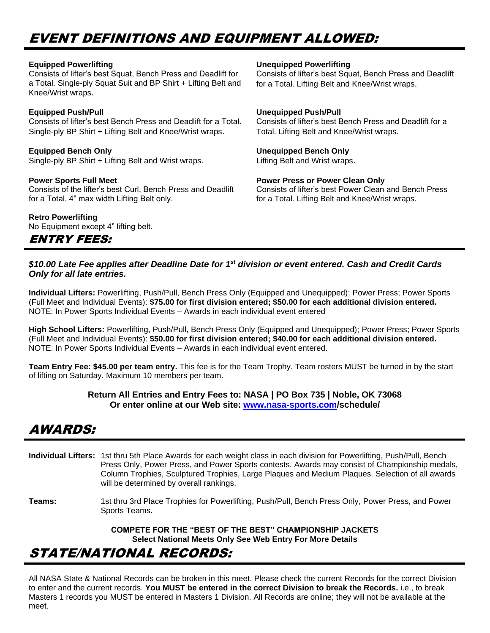# EVENT DEFINITIONS AND EQUIPMENT ALLOWED:

| <b>Equipped Powerlifting</b><br>Consists of lifter's best Squat, Bench Press and Deadlift for<br>a Total. Single-ply Squat Suit and BP Shirt + Lifting Belt and<br>Knee/Wrist wraps. | <b>Unequipped Powerlifting</b><br>Consists of lifter's best Squat, Bench Press and Deadlift<br>for a Total. Lifting Belt and Knee/Wrist wraps. |
|--------------------------------------------------------------------------------------------------------------------------------------------------------------------------------------|------------------------------------------------------------------------------------------------------------------------------------------------|
| <b>Equipped Push/Pull</b>                                                                                                                                                            | <b>Unequipped Push/Pull</b>                                                                                                                    |
| Consists of lifter's best Bench Press and Deadlift for a Total.                                                                                                                      | Consists of lifter's best Bench Press and Deadlift for a                                                                                       |
| Single-ply BP Shirt + Lifting Belt and Knee/Wrist wraps.                                                                                                                             | Total. Lifting Belt and Knee/Wrist wraps.                                                                                                      |
| <b>Equipped Bench Only</b>                                                                                                                                                           | <b>Unequipped Bench Only</b>                                                                                                                   |
| Single-ply BP Shirt + Lifting Belt and Wrist wraps.                                                                                                                                  | Lifting Belt and Wrist wraps.                                                                                                                  |
| <b>Power Sports Full Meet</b>                                                                                                                                                        | <b>Power Press or Power Clean Only</b>                                                                                                         |
| Consists of the lifter's best Curl, Bench Press and Deadlift                                                                                                                         | Consists of lifter's best Power Clean and Bench Press                                                                                          |
| for a Total. 4" max width Lifting Belt only.                                                                                                                                         | for a Total. Lifting Belt and Knee/Wrist wraps.                                                                                                |
| <b>Retro Powerlifting</b><br>No Equipment except 4" lifting belt.                                                                                                                    |                                                                                                                                                |

#### *\$10.00 Late Fee applies after Deadline Date for 1st division or event entered. Cash and Credit Cards Only for all late entries.*

**Individual Lifters:** Powerlifting, Push/Pull, Bench Press Only (Equipped and Unequipped); Power Press; Power Sports (Full Meet and Individual Events): **\$75.00 for first division entered; \$50.00 for each additional division entered.**  NOTE: In Power Sports Individual Events – Awards in each individual event entered

**High School Lifters:** Powerlifting, Push/Pull, Bench Press Only (Equipped and Unequipped); Power Press; Power Sports (Full Meet and Individual Events): **\$50.00 for first division entered; \$40.00 for each additional division entered.**  NOTE: In Power Sports Individual Events – Awards in each individual event entered.

**Team Entry Fee: \$45.00 per team entry.** This fee is for the Team Trophy. Team rosters MUST be turned in by the start of lifting on Saturday. Maximum 10 members per team.

#### **Return All Entries and Entry Fees to: NASA | PO Box 735 | Noble, OK 73068 Or enter online at our Web site: [www.nasa-sports.com/](http://www.nasa-sports.com/)schedule/**

## AWARDS:

ENTRY FEES:

- **Individual Lifters:** 1st thru 5th Place Awards for each weight class in each division for Powerlifting, Push/Pull, Bench Press Only, Power Press, and Power Sports contests. Awards may consist of Championship medals, Column Trophies, Sculptured Trophies, Large Plaques and Medium Plaques. Selection of all awards will be determined by overall rankings.
- **Teams:** 1st thru 3rd Place Trophies for Powerlifting, Push/Pull, Bench Press Only, Power Press, and Power Sports Teams.

**COMPETE FOR THE "BEST OF THE BEST" CHAMPIONSHIP JACKETS Select National Meets Only See Web Entry For More Details**

## STATE/NATIONAL RECORDS:

All NASA State & National Records can be broken in this meet. Please check the current Records for the correct Division to enter and the current records. **You MUST be entered in the correct Division to break the Records.** i.e., to break Masters 1 records you MUST be entered in Masters 1 Division. All Records are online; they will not be available at the meet.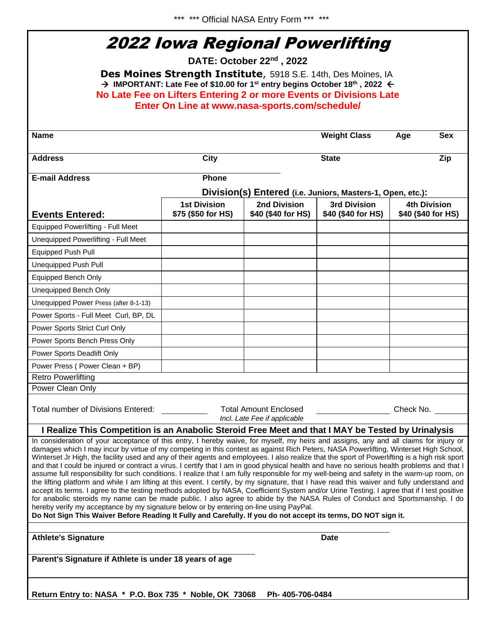\*\*\* \*\*\* Official NASA Entry Form \*\*\* \*\*\*

# 2022 Iowa Regional Powerlifting

**DATE: October 22 nd , 2022**

**Des Moines Strength Institute**, 5918 S.E. 14th, Des Moines, IA → **IMPORTANT: Late Fee of \$10.00 for 1st entry begins October 18th , 2022 No Late Fee on Lifters Entering 2 or more Events or Divisions Late Enter On Line at www.nasa-sports.com/schedule/**

| <b>Name</b>                                                                                                                                                                                                                                                                                                                                                                                                                                                                                                                                                                                                                                                                                                                                                                                                                                                                                                                                                                                                                                                                                                                                                                                                                                                                                                                                                             |                                           |                                                              | <b>Weight Class</b>                       | <b>Sex</b><br>Age                         |  |  |  |  |
|-------------------------------------------------------------------------------------------------------------------------------------------------------------------------------------------------------------------------------------------------------------------------------------------------------------------------------------------------------------------------------------------------------------------------------------------------------------------------------------------------------------------------------------------------------------------------------------------------------------------------------------------------------------------------------------------------------------------------------------------------------------------------------------------------------------------------------------------------------------------------------------------------------------------------------------------------------------------------------------------------------------------------------------------------------------------------------------------------------------------------------------------------------------------------------------------------------------------------------------------------------------------------------------------------------------------------------------------------------------------------|-------------------------------------------|--------------------------------------------------------------|-------------------------------------------|-------------------------------------------|--|--|--|--|
| <b>Address</b>                                                                                                                                                                                                                                                                                                                                                                                                                                                                                                                                                                                                                                                                                                                                                                                                                                                                                                                                                                                                                                                                                                                                                                                                                                                                                                                                                          | <b>City</b>                               |                                                              | <b>State</b>                              | Zip                                       |  |  |  |  |
| <b>E-mail Address</b>                                                                                                                                                                                                                                                                                                                                                                                                                                                                                                                                                                                                                                                                                                                                                                                                                                                                                                                                                                                                                                                                                                                                                                                                                                                                                                                                                   | Phone                                     |                                                              |                                           |                                           |  |  |  |  |
| Division(s) Entered (i.e. Juniors, Masters-1, Open, etc.):                                                                                                                                                                                                                                                                                                                                                                                                                                                                                                                                                                                                                                                                                                                                                                                                                                                                                                                                                                                                                                                                                                                                                                                                                                                                                                              |                                           |                                                              |                                           |                                           |  |  |  |  |
| <b>Events Entered:</b>                                                                                                                                                                                                                                                                                                                                                                                                                                                                                                                                                                                                                                                                                                                                                                                                                                                                                                                                                                                                                                                                                                                                                                                                                                                                                                                                                  | <b>1st Division</b><br>\$75 (\$50 for HS) | 2nd Division<br>\$40 (\$40 for HS)                           | <b>3rd Division</b><br>\$40 (\$40 for HS) | <b>4th Division</b><br>\$40 (\$40 for HS) |  |  |  |  |
| <b>Equipped Powerlifting - Full Meet</b>                                                                                                                                                                                                                                                                                                                                                                                                                                                                                                                                                                                                                                                                                                                                                                                                                                                                                                                                                                                                                                                                                                                                                                                                                                                                                                                                |                                           |                                                              |                                           |                                           |  |  |  |  |
| Unequipped Powerlifting - Full Meet                                                                                                                                                                                                                                                                                                                                                                                                                                                                                                                                                                                                                                                                                                                                                                                                                                                                                                                                                                                                                                                                                                                                                                                                                                                                                                                                     |                                           |                                                              |                                           |                                           |  |  |  |  |
| Equipped Push Pull                                                                                                                                                                                                                                                                                                                                                                                                                                                                                                                                                                                                                                                                                                                                                                                                                                                                                                                                                                                                                                                                                                                                                                                                                                                                                                                                                      |                                           |                                                              |                                           |                                           |  |  |  |  |
| <b>Unequipped Push Pull</b>                                                                                                                                                                                                                                                                                                                                                                                                                                                                                                                                                                                                                                                                                                                                                                                                                                                                                                                                                                                                                                                                                                                                                                                                                                                                                                                                             |                                           |                                                              |                                           |                                           |  |  |  |  |
| <b>Equipped Bench Only</b>                                                                                                                                                                                                                                                                                                                                                                                                                                                                                                                                                                                                                                                                                                                                                                                                                                                                                                                                                                                                                                                                                                                                                                                                                                                                                                                                              |                                           |                                                              |                                           |                                           |  |  |  |  |
| Unequipped Bench Only                                                                                                                                                                                                                                                                                                                                                                                                                                                                                                                                                                                                                                                                                                                                                                                                                                                                                                                                                                                                                                                                                                                                                                                                                                                                                                                                                   |                                           |                                                              |                                           |                                           |  |  |  |  |
| Unequipped Power Press (after 8-1-13)                                                                                                                                                                                                                                                                                                                                                                                                                                                                                                                                                                                                                                                                                                                                                                                                                                                                                                                                                                                                                                                                                                                                                                                                                                                                                                                                   |                                           |                                                              |                                           |                                           |  |  |  |  |
| Power Sports - Full Meet Curl, BP, DL                                                                                                                                                                                                                                                                                                                                                                                                                                                                                                                                                                                                                                                                                                                                                                                                                                                                                                                                                                                                                                                                                                                                                                                                                                                                                                                                   |                                           |                                                              |                                           |                                           |  |  |  |  |
| Power Sports Strict Curl Only                                                                                                                                                                                                                                                                                                                                                                                                                                                                                                                                                                                                                                                                                                                                                                                                                                                                                                                                                                                                                                                                                                                                                                                                                                                                                                                                           |                                           |                                                              |                                           |                                           |  |  |  |  |
| Power Sports Bench Press Only                                                                                                                                                                                                                                                                                                                                                                                                                                                                                                                                                                                                                                                                                                                                                                                                                                                                                                                                                                                                                                                                                                                                                                                                                                                                                                                                           |                                           |                                                              |                                           |                                           |  |  |  |  |
| Power Sports Deadlift Only                                                                                                                                                                                                                                                                                                                                                                                                                                                                                                                                                                                                                                                                                                                                                                                                                                                                                                                                                                                                                                                                                                                                                                                                                                                                                                                                              |                                           |                                                              |                                           |                                           |  |  |  |  |
| Power Press (Power Clean + BP)                                                                                                                                                                                                                                                                                                                                                                                                                                                                                                                                                                                                                                                                                                                                                                                                                                                                                                                                                                                                                                                                                                                                                                                                                                                                                                                                          |                                           |                                                              |                                           |                                           |  |  |  |  |
| <b>Retro Powerlifting</b>                                                                                                                                                                                                                                                                                                                                                                                                                                                                                                                                                                                                                                                                                                                                                                                                                                                                                                                                                                                                                                                                                                                                                                                                                                                                                                                                               |                                           |                                                              |                                           |                                           |  |  |  |  |
| Power Clean Only                                                                                                                                                                                                                                                                                                                                                                                                                                                                                                                                                                                                                                                                                                                                                                                                                                                                                                                                                                                                                                                                                                                                                                                                                                                                                                                                                        |                                           |                                                              |                                           |                                           |  |  |  |  |
| Total number of Divisions Entered:                                                                                                                                                                                                                                                                                                                                                                                                                                                                                                                                                                                                                                                                                                                                                                                                                                                                                                                                                                                                                                                                                                                                                                                                                                                                                                                                      |                                           | <b>Total Amount Enclosed</b><br>Incl. Late Fee if applicable |                                           | Check No.                                 |  |  |  |  |
| I Realize This Competition is an Anabolic Steroid Free Meet and that I MAY be Tested by Urinalysis                                                                                                                                                                                                                                                                                                                                                                                                                                                                                                                                                                                                                                                                                                                                                                                                                                                                                                                                                                                                                                                                                                                                                                                                                                                                      |                                           |                                                              |                                           |                                           |  |  |  |  |
| In consideration of your acceptance of this entry, I hereby waive, for myself, my heirs and assigns, any and all claims for injury or<br>damages which I may incur by virtue of my competing in this contest as against Rich Peters, NASA Powerlifting, Winterset High School,<br>Winterset Jr High, the facility used and any of their agents and employees. I also realize that the sport of Powerlifting is a high risk sport<br>and that I could be injured or contract a virus. I certify that I am in good physical health and have no serious health problems and that I<br>assume full responsibility for such conditions. I realize that I am fully responsible for my well-being and safety in the warm-up room, on<br>the lifting platform and while I am lifting at this event. I certify, by my signature, that I have read this waiver and fully understand and<br>accept its terms. I agree to the testing methods adopted by NASA, Coefficient System and/or Urine Testing. I agree that if I test positive<br>for anabolic steroids my name can be made public. I also agree to abide by the NASA Rules of Conduct and Sportsmanship. I do<br>hereby verify my acceptance by my signature below or by entering on-line using PayPal.<br>Do Not Sign This Waiver Before Reading It Fully and Carefully. If you do not accept its terms, DO NOT sign it. |                                           |                                                              |                                           |                                           |  |  |  |  |
|                                                                                                                                                                                                                                                                                                                                                                                                                                                                                                                                                                                                                                                                                                                                                                                                                                                                                                                                                                                                                                                                                                                                                                                                                                                                                                                                                                         |                                           |                                                              |                                           |                                           |  |  |  |  |
| <b>Athlete's Signature</b>                                                                                                                                                                                                                                                                                                                                                                                                                                                                                                                                                                                                                                                                                                                                                                                                                                                                                                                                                                                                                                                                                                                                                                                                                                                                                                                                              |                                           |                                                              | <b>Date</b>                               |                                           |  |  |  |  |
| Parent's Signature if Athlete is under 18 years of age                                                                                                                                                                                                                                                                                                                                                                                                                                                                                                                                                                                                                                                                                                                                                                                                                                                                                                                                                                                                                                                                                                                                                                                                                                                                                                                  |                                           |                                                              |                                           |                                           |  |  |  |  |
|                                                                                                                                                                                                                                                                                                                                                                                                                                                                                                                                                                                                                                                                                                                                                                                                                                                                                                                                                                                                                                                                                                                                                                                                                                                                                                                                                                         |                                           |                                                              |                                           |                                           |  |  |  |  |

**Return Entry to: NASA \* P.O. Box 735 \* Noble, OK 73068 Ph- 405-706-0484**